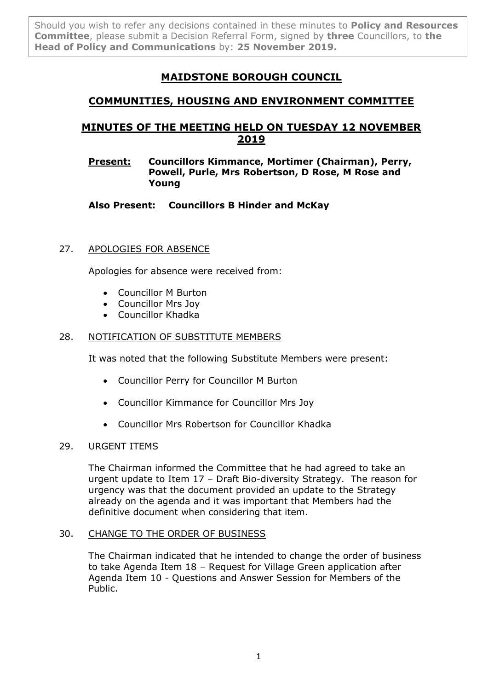Should you wish to refer any decisions contained in these minutes to **Policy and Resources Committee**, please submit a Decision Referral Form, signed by **three** Councillors, to **the Head of Policy and Communications** by: **25 November 2019.**

# **MAIDSTONE BOROUGH COUNCIL**

## **COMMUNITIES, HOUSING AND ENVIRONMENT COMMITTEE**

# **MINUTES OF THE MEETING HELD ON TUESDAY 12 NOVEMBER 2019**

## **Present: Councillors Kimmance, Mortimer (Chairman), Perry, Powell, Purle, Mrs Robertson, D Rose, M Rose and Young**

## **Also Present: Councillors B Hinder and McKay**

## 27. APOLOGIES FOR ABSENCE

Apologies for absence were received from:

- Councillor M Burton
- Councillor Mrs Joy
- Councillor Khadka

## 28. NOTIFICATION OF SUBSTITUTE MEMBERS

It was noted that the following Substitute Members were present:

- Councillor Perry for Councillor M Burton
- Councillor Kimmance for Councillor Mrs Joy
- Councillor Mrs Robertson for Councillor Khadka

#### 29. URGENT ITEMS

The Chairman informed the Committee that he had agreed to take an urgent update to Item 17 – Draft Bio-diversity Strategy. The reason for urgency was that the document provided an update to the Strategy already on the agenda and it was important that Members had the definitive document when considering that item.

#### 30. CHANGE TO THE ORDER OF BUSINESS

The Chairman indicated that he intended to change the order of business to take Agenda Item 18 – Request for Village Green application after Agenda Item 10 - Questions and Answer Session for Members of the Public.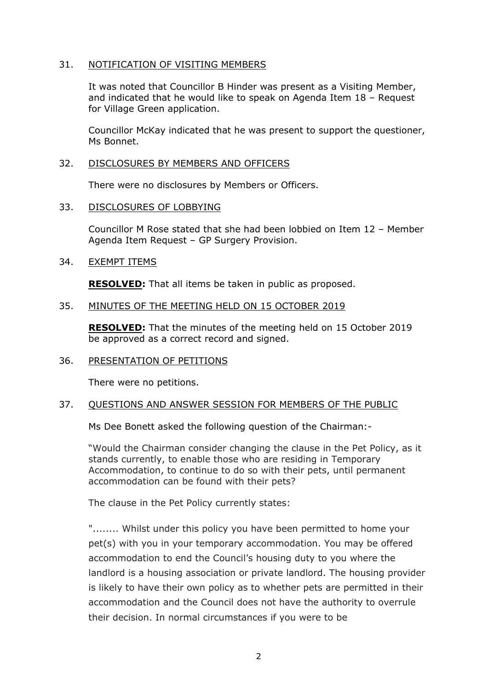#### 31. NOTIFICATION OF VISITING MEMBERS

It was noted that Councillor B Hinder was present as a Visiting Member, and indicated that he would like to speak on Agenda Item 18 – Request for Village Green application.

Councillor McKay indicated that he was present to support the questioner, Ms Bonnet.

#### 32. DISCLOSURES BY MEMBERS AND OFFICERS

There were no disclosures by Members or Officers.

#### 33. DISCLOSURES OF LOBBYING

Councillor M Rose stated that she had been lobbied on Item 12 – Member Agenda Item Request – GP Surgery Provision.

## 34. EXEMPT ITEMS

**RESOLVED:** That all items be taken in public as proposed.

## 35. MINUTES OF THE MEETING HELD ON 15 OCTOBER 2019

**RESOLVED:** That the minutes of the meeting held on 15 October 2019 be approved as a correct record and signed.

#### 36. PRESENTATION OF PETITIONS

There were no petitions.

#### 37. QUESTIONS AND ANSWER SESSION FOR MEMBERS OF THE PUBLIC

Ms Dee Bonett asked the following question of the Chairman:-

"Would the Chairman consider changing the clause in the Pet Policy, as it stands currently, to enable those who are residing in Temporary Accommodation, to continue to do so with their pets, until permanent accommodation can be found with their pets?

The clause in the Pet Policy currently states:

"........ Whilst under this policy you have been permitted to home your pet(s) with you in your temporary accommodation. You may be offered accommodation to end the Council's housing duty to you where the landlord is a housing association or private landlord. The housing provider is likely to have their own policy as to whether pets are permitted in their accommodation and the Council does not have the authority to overrule their decision. In normal circumstances if you were to be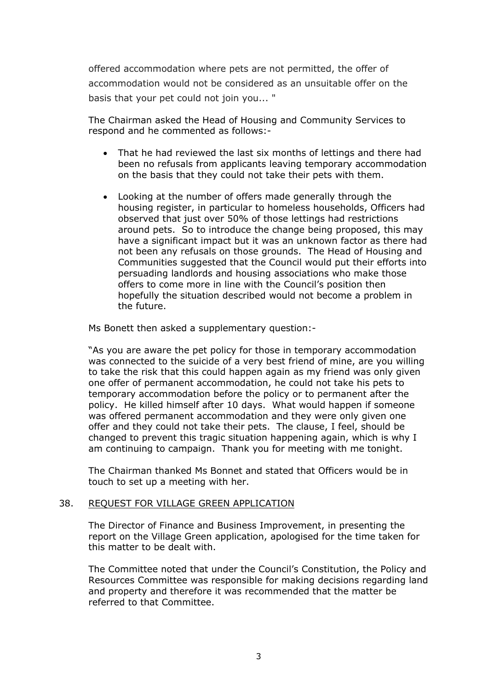offered accommodation where pets are not permitted, the offer of accommodation would not be considered as an unsuitable offer on the basis that your pet could not join you... "

The Chairman asked the Head of Housing and Community Services to respond and he commented as follows:-

- That he had reviewed the last six months of lettings and there had been no refusals from applicants leaving temporary accommodation on the basis that they could not take their pets with them.
- Looking at the number of offers made generally through the housing register, in particular to homeless households, Officers had observed that just over 50% of those lettings had restrictions around pets. So to introduce the change being proposed, this may have a significant impact but it was an unknown factor as there had not been any refusals on those grounds. The Head of Housing and Communities suggested that the Council would put their efforts into persuading landlords and housing associations who make those offers to come more in line with the Council's position then hopefully the situation described would not become a problem in the future.

Ms Bonett then asked a supplementary question:-

"As you are aware the pet policy for those in temporary accommodation was connected to the suicide of a very best friend of mine, are you willing to take the risk that this could happen again as my friend was only given one offer of permanent accommodation, he could not take his pets to temporary accommodation before the policy or to permanent after the policy. He killed himself after 10 days. What would happen if someone was offered permanent accommodation and they were only given one offer and they could not take their pets. The clause, I feel, should be changed to prevent this tragic situation happening again, which is why I am continuing to campaign. Thank you for meeting with me tonight.

The Chairman thanked Ms Bonnet and stated that Officers would be in touch to set up a meeting with her.

#### 38. REQUEST FOR VILLAGE GREEN APPLICATION

The Director of Finance and Business Improvement, in presenting the report on the Village Green application, apologised for the time taken for this matter to be dealt with.

The Committee noted that under the Council's Constitution, the Policy and Resources Committee was responsible for making decisions regarding land and property and therefore it was recommended that the matter be referred to that Committee.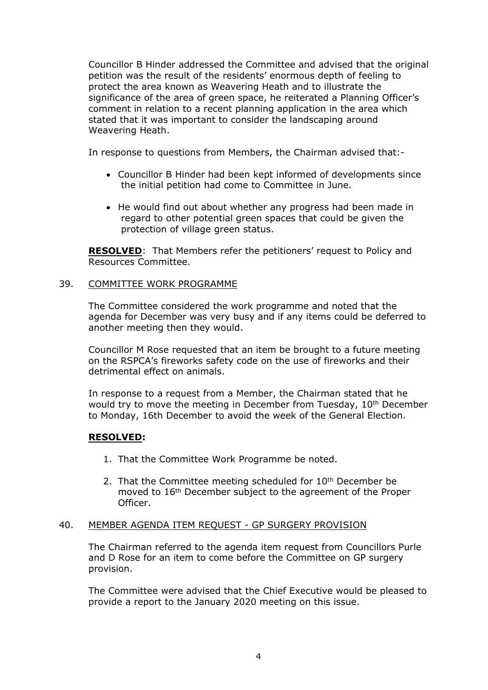Councillor B Hinder addressed the Committee and advised that the original petition was the result of the residents' enormous depth of feeling to protect the area known as Weavering Heath and to illustrate the significance of the area of green space, he reiterated a Planning Officer's comment in relation to a recent planning application in the area which stated that it was important to consider the landscaping around Weavering Heath.

In response to questions from Members, the Chairman advised that:-

- Councillor B Hinder had been kept informed of developments since the initial petition had come to Committee in June.
- He would find out about whether any progress had been made in regard to other potential green spaces that could be given the protection of village green status.

**RESOLVED**: That Members refer the petitioners' request to Policy and Resources Committee.

#### 39. COMMITTEE WORK PROGRAMME

The Committee considered the work programme and noted that the agenda for December was very busy and if any items could be deferred to another meeting then they would.

Councillor M Rose requested that an item be brought to a future meeting on the RSPCA's fireworks safety code on the use of fireworks and their detrimental effect on animals.

In response to a request from a Member, the Chairman stated that he would try to move the meeting in December from Tuesday, 10<sup>th</sup> December to Monday, 16th December to avoid the week of the General Election.

## **RESOLVED:**

- 1. That the Committee Work Programme be noted.
- 2. That the Committee meeting scheduled for 10<sup>th</sup> December be moved to 16th December subject to the agreement of the Proper Officer.

#### 40. MEMBER AGENDA ITEM REQUEST - GP SURGERY PROVISION

The Chairman referred to the agenda item request from Councillors Purle and D Rose for an item to come before the Committee on GP surgery provision.

The Committee were advised that the Chief Executive would be pleased to provide a report to the January 2020 meeting on this issue.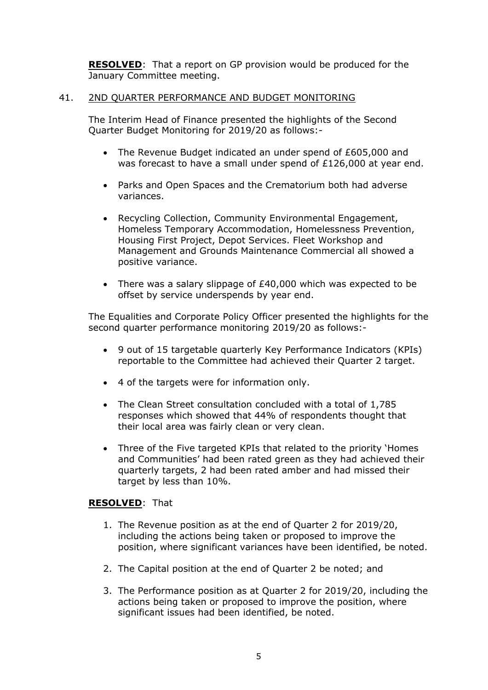**RESOLVED**: That a report on GP provision would be produced for the January Committee meeting.

## 41. 2ND QUARTER PERFORMANCE AND BUDGET MONITORING

The Interim Head of Finance presented the highlights of the Second Quarter Budget Monitoring for 2019/20 as follows:-

- The Revenue Budget indicated an under spend of £605,000 and was forecast to have a small under spend of £126,000 at year end.
- Parks and Open Spaces and the Crematorium both had adverse variances.
- Recycling Collection, Community Environmental Engagement, Homeless Temporary Accommodation, Homelessness Prevention, Housing First Project, Depot Services. Fleet Workshop and Management and Grounds Maintenance Commercial all showed a positive variance.
- There was a salary slippage of £40,000 which was expected to be offset by service underspends by year end.

The Equalities and Corporate Policy Officer presented the highlights for the second quarter performance monitoring 2019/20 as follows:-

- 9 out of 15 targetable quarterly Key Performance Indicators (KPIs) reportable to the Committee had achieved their Quarter 2 target.
- 4 of the targets were for information only.
- The Clean Street consultation concluded with a total of 1,785 responses which showed that 44% of respondents thought that their local area was fairly clean or very clean.
- Three of the Five targeted KPIs that related to the priority 'Homes and Communities' had been rated green as they had achieved their quarterly targets, 2 had been rated amber and had missed their target by less than 10%.

#### **RESOLVED**: That

- 1. The Revenue position as at the end of Quarter 2 for 2019/20, including the actions being taken or proposed to improve the position, where significant variances have been identified, be noted.
- 2. The Capital position at the end of Quarter 2 be noted; and
- 3. The Performance position as at Quarter 2 for 2019/20, including the actions being taken or proposed to improve the position, where significant issues had been identified, be noted.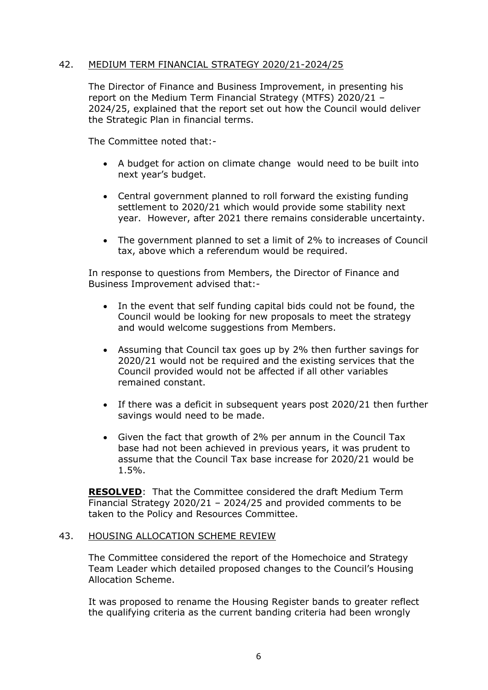## 42. MEDIUM TERM FINANCIAL STRATEGY 2020/21-2024/25

The Director of Finance and Business Improvement, in presenting his report on the Medium Term Financial Strategy (MTFS) 2020/21 – 2024/25, explained that the report set out how the Council would deliver the Strategic Plan in financial terms.

The Committee noted that:-

- A budget for action on climate change would need to be built into next year's budget.
- Central government planned to roll forward the existing funding settlement to 2020/21 which would provide some stability next year. However, after 2021 there remains considerable uncertainty.
- The government planned to set a limit of 2% to increases of Council tax, above which a referendum would be required.

In response to questions from Members, the Director of Finance and Business Improvement advised that:-

- In the event that self funding capital bids could not be found, the Council would be looking for new proposals to meet the strategy and would welcome suggestions from Members.
- Assuming that Council tax goes up by 2% then further savings for 2020/21 would not be required and the existing services that the Council provided would not be affected if all other variables remained constant.
- If there was a deficit in subsequent years post 2020/21 then further savings would need to be made.
- Given the fact that growth of 2% per annum in the Council Tax base had not been achieved in previous years, it was prudent to assume that the Council Tax base increase for 2020/21 would be 1.5%.

**RESOLVED**: That the Committee considered the draft Medium Term Financial Strategy 2020/21 – 2024/25 and provided comments to be taken to the Policy and Resources Committee.

#### 43. HOUSING ALLOCATION SCHEME REVIEW

The Committee considered the report of the Homechoice and Strategy Team Leader which detailed proposed changes to the Council's Housing Allocation Scheme.

It was proposed to rename the Housing Register bands to greater reflect the qualifying criteria as the current banding criteria had been wrongly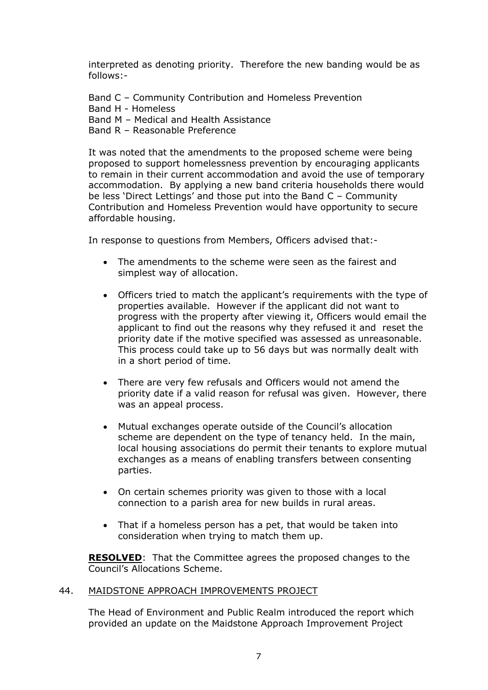interpreted as denoting priority. Therefore the new banding would be as follows:-

Band C – Community Contribution and Homeless Prevention Band H - Homeless Band M – Medical and Health Assistance Band R – Reasonable Preference

It was noted that the amendments to the proposed scheme were being proposed to support homelessness prevention by encouraging applicants to remain in their current accommodation and avoid the use of temporary accommodation. By applying a new band criteria households there would be less 'Direct Lettings' and those put into the Band C – Community Contribution and Homeless Prevention would have opportunity to secure affordable housing.

In response to questions from Members, Officers advised that:-

- The amendments to the scheme were seen as the fairest and simplest way of allocation.
- Officers tried to match the applicant's requirements with the type of properties available. However if the applicant did not want to progress with the property after viewing it, Officers would email the applicant to find out the reasons why they refused it and reset the priority date if the motive specified was assessed as unreasonable. This process could take up to 56 days but was normally dealt with in a short period of time.
- There are very few refusals and Officers would not amend the priority date if a valid reason for refusal was given. However, there was an appeal process.
- Mutual exchanges operate outside of the Council's allocation scheme are dependent on the type of tenancy held. In the main, local housing associations do permit their tenants to explore mutual exchanges as a means of enabling transfers between consenting parties.
- On certain schemes priority was given to those with a local connection to a parish area for new builds in rural areas.
- That if a homeless person has a pet, that would be taken into consideration when trying to match them up.

**RESOLVED**: That the Committee agrees the proposed changes to the Council's Allocations Scheme.

#### 44. MAIDSTONE APPROACH IMPROVEMENTS PROJECT

The Head of Environment and Public Realm introduced the report which provided an update on the Maidstone Approach Improvement Project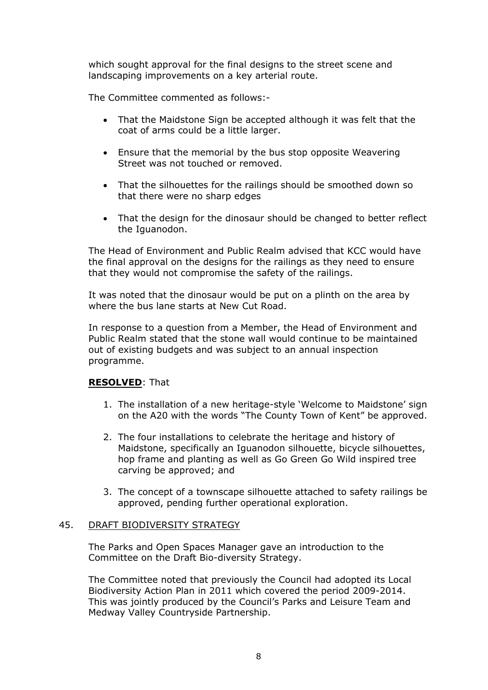which sought approval for the final designs to the street scene and landscaping improvements on a key arterial route.

The Committee commented as follows:-

- That the Maidstone Sign be accepted although it was felt that the coat of arms could be a little larger.
- Ensure that the memorial by the bus stop opposite Weavering Street was not touched or removed.
- That the silhouettes for the railings should be smoothed down so that there were no sharp edges
- That the design for the dinosaur should be changed to better reflect the Iguanodon.

The Head of Environment and Public Realm advised that KCC would have the final approval on the designs for the railings as they need to ensure that they would not compromise the safety of the railings.

It was noted that the dinosaur would be put on a plinth on the area by where the bus lane starts at New Cut Road.

In response to a question from a Member, the Head of Environment and Public Realm stated that the stone wall would continue to be maintained out of existing budgets and was subject to an annual inspection programme.

## **RESOLVED**: That

- 1. The installation of a new heritage-style 'Welcome to Maidstone' sign on the A20 with the words "The County Town of Kent" be approved.
- 2. The four installations to celebrate the heritage and history of Maidstone, specifically an Iguanodon silhouette, bicycle silhouettes, hop frame and planting as well as Go Green Go Wild inspired tree carving be approved; and
- 3. The concept of a townscape silhouette attached to safety railings be approved, pending further operational exploration.

#### 45. DRAFT BIODIVERSITY STRATEGY

The Parks and Open Spaces Manager gave an introduction to the Committee on the Draft Bio-diversity Strategy.

The Committee noted that previously the Council had adopted its Local Biodiversity Action Plan in 2011 which covered the period 2009-2014. This was jointly produced by the Council's Parks and Leisure Team and Medway Valley Countryside Partnership.